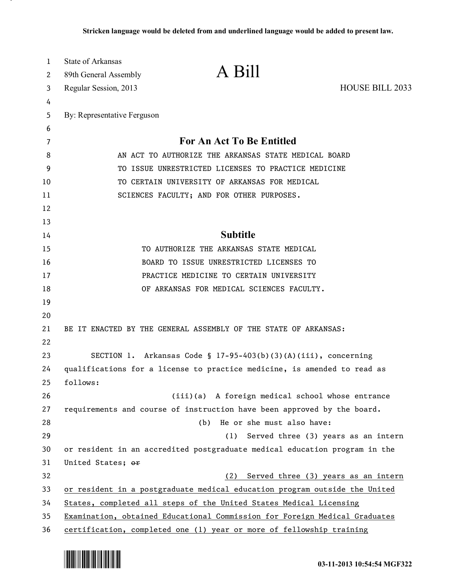| 1      | <b>State of Arkansas</b><br>89th General Assembly                          | A Bill                                                                     |                                     |  |
|--------|----------------------------------------------------------------------------|----------------------------------------------------------------------------|-------------------------------------|--|
| 2      |                                                                            |                                                                            | <b>HOUSE BILL 2033</b>              |  |
| 3      | Regular Session, 2013                                                      |                                                                            |                                     |  |
| 4<br>5 | By: Representative Ferguson                                                |                                                                            |                                     |  |
| 6      |                                                                            |                                                                            |                                     |  |
| 7      | For An Act To Be Entitled                                                  |                                                                            |                                     |  |
| 8      | AN ACT TO AUTHORIZE THE ARKANSAS STATE MEDICAL BOARD                       |                                                                            |                                     |  |
| 9      | TO ISSUE UNRESTRICTED LICENSES TO PRACTICE MEDICINE                        |                                                                            |                                     |  |
| 10     |                                                                            | TO CERTAIN UNIVERSITY OF ARKANSAS FOR MEDICAL                              |                                     |  |
| 11     | SCIENCES FACULTY; AND FOR OTHER PURPOSES.                                  |                                                                            |                                     |  |
| 12     |                                                                            |                                                                            |                                     |  |
| 13     |                                                                            |                                                                            |                                     |  |
| 14     |                                                                            | <b>Subtitle</b>                                                            |                                     |  |
| 15     |                                                                            | TO AUTHORIZE THE ARKANSAS STATE MEDICAL                                    |                                     |  |
| 16     | BOARD TO ISSUE UNRESTRICTED LICENSES TO                                    |                                                                            |                                     |  |
| 17     | PRACTICE MEDICINE TO CERTAIN UNIVERSITY                                    |                                                                            |                                     |  |
| 18     |                                                                            | OF ARKANSAS FOR MEDICAL SCIENCES FACULTY.                                  |                                     |  |
| 19     |                                                                            |                                                                            |                                     |  |
| 20     |                                                                            |                                                                            |                                     |  |
| 21     | BE IT ENACTED BY THE GENERAL ASSEMBLY OF THE STATE OF ARKANSAS:            |                                                                            |                                     |  |
| 22     |                                                                            |                                                                            |                                     |  |
| 23     | SECTION 1. Arkansas Code § 17-95-403(b)(3)(A)(iii), concerning             |                                                                            |                                     |  |
| 24     | qualifications for a license to practice medicine, is amended to read as   |                                                                            |                                     |  |
| 25     | follows:                                                                   |                                                                            |                                     |  |
| 26     |                                                                            | (iii)(a) A foreign medical school whose entrance                           |                                     |  |
| 27     |                                                                            | requirements and course of instruction have been approved by the board.    |                                     |  |
| 28     |                                                                            | He or she must also have:<br>(b)                                           |                                     |  |
| 29     |                                                                            | (1)                                                                        | Served three (3) years as an intern |  |
| 30     |                                                                            | or resident in an accredited postgraduate medical education program in the |                                     |  |
| 31     | United States; or                                                          |                                                                            |                                     |  |
| 32     |                                                                            | (2)                                                                        | Served three (3) years as an intern |  |
| 33     | or resident in a postgraduate medical education program outside the United |                                                                            |                                     |  |
| 34     | States, completed all steps of the United States Medical Licensing         |                                                                            |                                     |  |
| 35     | Examination, obtained Educational Commission for Foreign Medical Graduates |                                                                            |                                     |  |
| 36     |                                                                            | certification, completed one (1) year or more of fellowship training       |                                     |  |



.